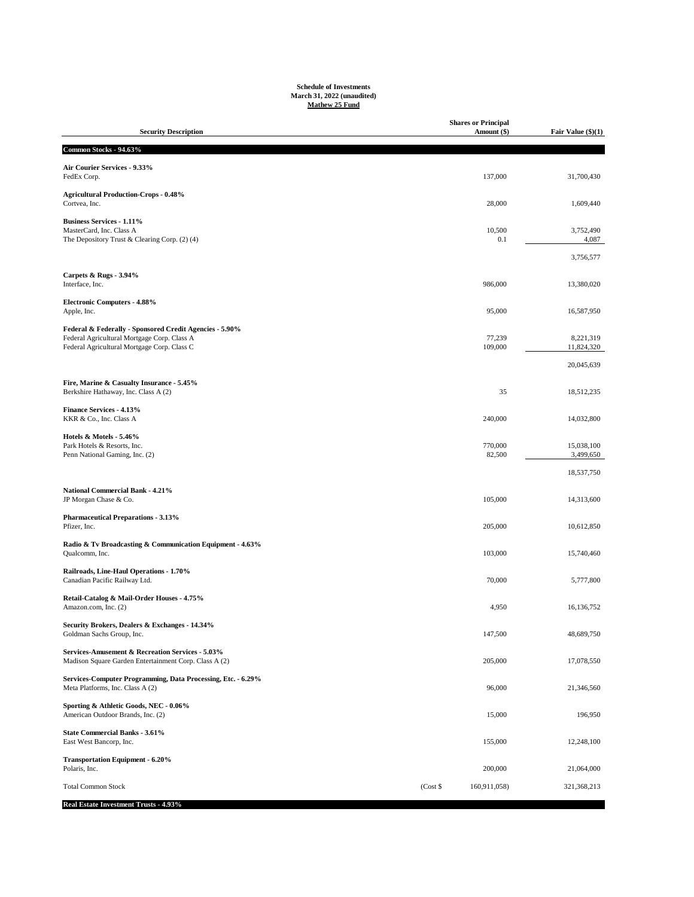## **Schedule of Investments March 31, 2022 (unaudited) Mathew 25 Fund**

| <b>Security Description</b>                                                                               |            | <b>Shares or Principal</b><br>Amount (\$) | Fair Value (\$)(1)      |
|-----------------------------------------------------------------------------------------------------------|------------|-------------------------------------------|-------------------------|
| Common Stocks - 94.63%                                                                                    |            |                                           |                         |
| Air Courier Services - 9.33%                                                                              |            |                                           |                         |
| FedEx Corp.                                                                                               |            | 137,000                                   | 31,700,430              |
| <b>Agricultural Production-Crops - 0.48%</b><br>Cortvea, Inc.                                             |            | 28,000                                    | 1,609,440               |
| <b>Business Services - 1.11%</b>                                                                          |            |                                           |                         |
| MasterCard, Inc. Class A<br>The Depository Trust & Clearing Corp. (2) (4)                                 |            | 10,500<br>0.1                             | 3,752,490<br>4,087      |
|                                                                                                           |            |                                           | 3,756,577               |
| Carpets & Rugs - 3.94%<br>Interface, Inc.                                                                 |            | 986,000                                   | 13,380,020              |
| <b>Electronic Computers - 4.88%</b><br>Apple, Inc.                                                        |            | 95,000                                    | 16,587,950              |
| Federal & Federally - Sponsored Credit Agencies - 5.90%                                                   |            |                                           |                         |
| Federal Agricultural Mortgage Corp. Class A<br>Federal Agricultural Mortgage Corp. Class C                |            | 77,239<br>109,000                         | 8,221,319<br>11,824,320 |
|                                                                                                           |            |                                           |                         |
|                                                                                                           |            |                                           | 20,045,639              |
| Fire, Marine & Casualty Insurance - 5.45%<br>Berkshire Hathaway, Inc. Class A (2)                         |            | 35                                        | 18,512,235              |
| <b>Finance Services - 4.13%</b><br>KKR & Co., Inc. Class A                                                |            | 240,000                                   | 14,032,800              |
| Hotels & Motels - 5.46%                                                                                   |            |                                           |                         |
| Park Hotels & Resorts, Inc.<br>Penn National Gaming, Inc. (2)                                             |            | 770,000<br>82,500                         | 15,038,100<br>3,499,650 |
|                                                                                                           |            |                                           | 18,537,750              |
| National Commercial Bank - 4.21%                                                                          |            |                                           |                         |
| JP Morgan Chase & Co.                                                                                     |            | 105,000                                   | 14,313,600              |
| <b>Pharmaceutical Preparations - 3.13%</b>                                                                |            |                                           |                         |
| Pfizer, Inc.                                                                                              |            | 205,000                                   | 10,612,850              |
| Radio & Tv Broadcasting & Communication Equipment - 4.63%<br>Qualcomm, Inc.                               |            | 103,000                                   | 15,740,460              |
| Railroads, Line-Haul Operations - 1.70%<br>Canadian Pacific Railway Ltd.                                  |            | 70,000                                    | 5,777,800               |
| Retail-Catalog & Mail-Order Houses - 4.75%<br>Amazon.com, Inc. (2)                                        |            | 4,950                                     | 16,136,752              |
| Security Brokers, Dealers & Exchanges - 14.34%<br>Goldman Sachs Group, Inc.                               |            | 147,500                                   | 48,689,750              |
| Services-Amusement & Recreation Services - 5.03%<br>Madison Square Garden Entertainment Corp. Class A (2) |            | 205,000                                   | 17,078,550              |
| Services-Computer Programming, Data Processing, Etc. - 6.29%<br>Meta Platforms, Inc. Class A (2)          |            | 96,000                                    | 21,346,560              |
| Sporting & Athletic Goods, NEC - 0.06%<br>American Outdoor Brands, Inc. (2)                               |            | 15,000                                    | 196,950                 |
| <b>State Commercial Banks - 3.61%</b><br>East West Bancorp, Inc.                                          |            | 155,000                                   | 12,248,100              |
| <b>Transportation Equipment - 6.20%</b><br>Polaris, Inc.                                                  |            | 200,000                                   | 21,064,000              |
|                                                                                                           |            |                                           |                         |
| <b>Total Common Stock</b>                                                                                 | $(Cost$ \$ | 160,911,058)                              | 321,368,213             |

**Real Estate Investment Trusts - 4.93%**